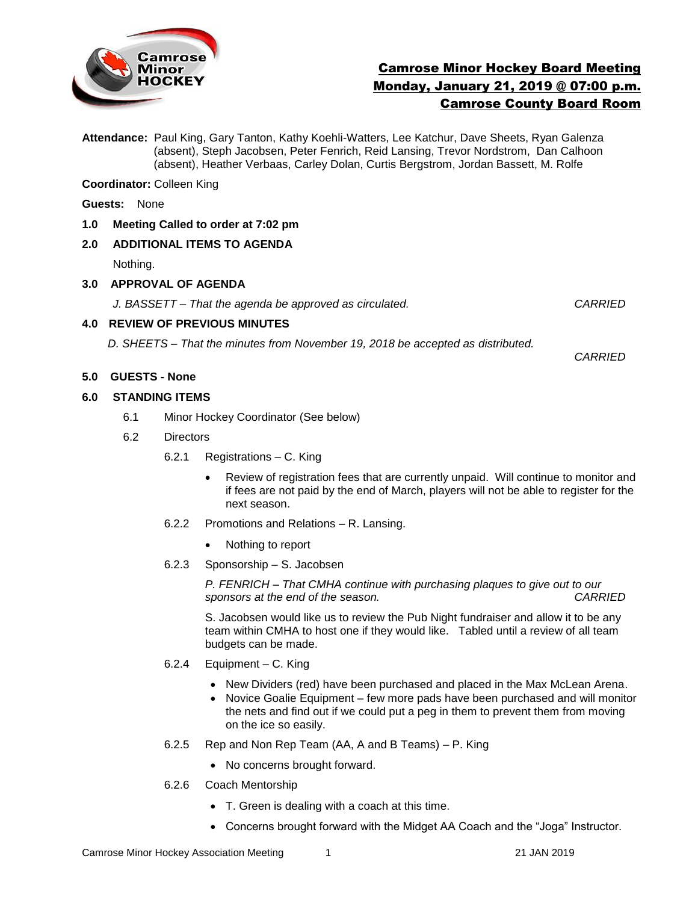

# Camrose Minor Hockey Board Meeting Monday, January 21, 2019 @ 07:00 p.m. Camrose County Board Room

**Attendance:** Paul King, Gary Tanton, Kathy Koehli-Watters, Lee Katchur, Dave Sheets, Ryan Galenza (absent), Steph Jacobsen, Peter Fenrich, Reid Lansing, Trevor Nordstrom, Dan Calhoon (absent), Heather Verbaas, Carley Dolan, Curtis Bergstrom, Jordan Bassett, M. Rolfe

**Coordinator:** Colleen King

- **Guests:** None
- **1.0 Meeting Called to order at 7:02 pm**

#### **2.0 ADDITIONAL ITEMS TO AGENDA**

Nothing.

#### **3.0 APPROVAL OF AGENDA**

*J. BASSETT – That the agenda be approved as circulated. CARRIED*

#### **4.0 REVIEW OF PREVIOUS MINUTES**

*D. SHEETS – That the minutes from November 19, 2018 be accepted as distributed.* 

*CARRIED*

## **5.0 GUESTS - None**

#### **6.0 STANDING ITEMS**

- 6.1Minor Hockey Coordinator (See below)
- 6.2 Directors
	- 6.2.1 Registrations C. King
		- Review of registration fees that are currently unpaid. Will continue to monitor and if fees are not paid by the end of March, players will not be able to register for the next season.
	- 6.2.2 Promotions and Relations R. Lansing.
		- Nothing to report
	- 6.2.3 Sponsorship S. Jacobsen

*P. FENRICH – That CMHA continue with purchasing plaques to give out to our sponsors at the end of the season. CARRIED*

S. Jacobsen would like us to review the Pub Night fundraiser and allow it to be any team within CMHA to host one if they would like. Tabled until a review of all team budgets can be made.

- 6.2.4 Equipment C. King
	- New Dividers (red) have been purchased and placed in the Max McLean Arena.
	- Novice Goalie Equipment few more pads have been purchased and will monitor the nets and find out if we could put a peg in them to prevent them from moving on the ice so easily.
- 6.2.5 Rep and Non Rep Team (AA, A and B Teams) P. King
	- No concerns brought forward.
- 6.2.6 Coach Mentorship
	- T. Green is dealing with a coach at this time.
	- Concerns brought forward with the Midget AA Coach and the "Joga" Instructor.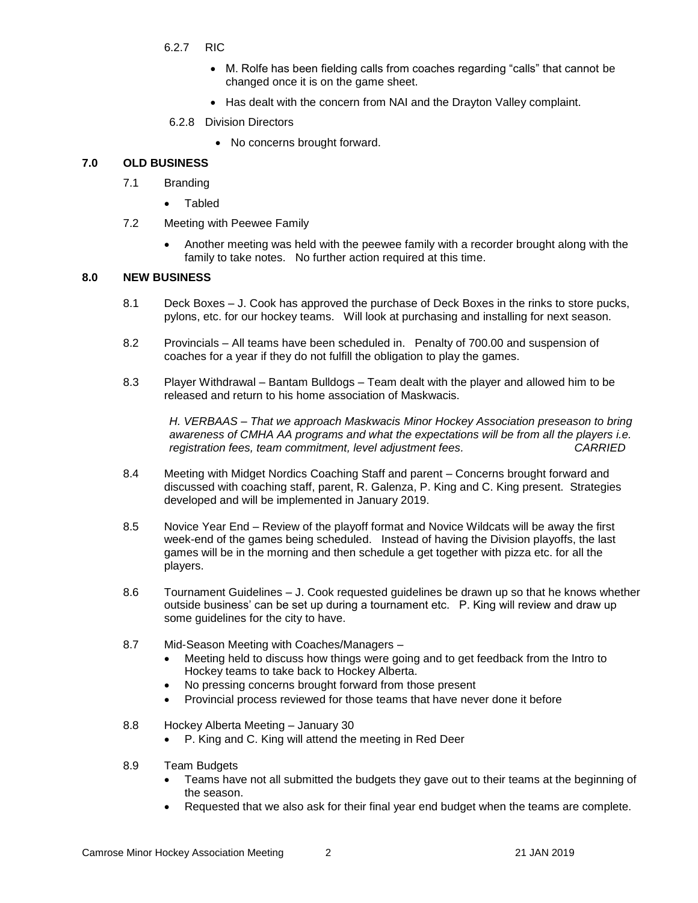- 6.2.7 RIC
	- M. Rolfe has been fielding calls from coaches regarding "calls" that cannot be changed once it is on the game sheet.
	- Has dealt with the concern from NAI and the Drayton Valley complaint.
- 6.2.8 Division Directors
	- No concerns brought forward.

#### **7.0 OLD BUSINESS**

- 7.1 Branding
	- Tabled
- 7.2 Meeting with Peewee Family
	- Another meeting was held with the peewee family with a recorder brought along with the family to take notes. No further action required at this time.

#### **8.0 NEW BUSINESS**

- 8.1 Deck Boxes J. Cook has approved the purchase of Deck Boxes in the rinks to store pucks, pylons, etc. for our hockey teams. Will look at purchasing and installing for next season.
- 8.2 Provincials All teams have been scheduled in. Penalty of 700.00 and suspension of coaches for a year if they do not fulfill the obligation to play the games.
- 8.3 Player Withdrawal Bantam Bulldogs Team dealt with the player and allowed him to be released and return to his home association of Maskwacis.

*H. VERBAAS – That we approach Maskwacis Minor Hockey Association preseason to bring awareness of CMHA AA programs and what the expectations will be from all the players i.e. registration fees, team commitment, level adjustment fees. CARRIED*

- 8.4 Meeting with Midget Nordics Coaching Staff and parent Concerns brought forward and discussed with coaching staff, parent, R. Galenza, P. King and C. King present. Strategies developed and will be implemented in January 2019.
- 8.5 Novice Year End Review of the playoff format and Novice Wildcats will be away the first week-end of the games being scheduled. Instead of having the Division playoffs, the last games will be in the morning and then schedule a get together with pizza etc. for all the players.
- 8.6 Tournament Guidelines J. Cook requested guidelines be drawn up so that he knows whether outside business' can be set up during a tournament etc. P. King will review and draw up some guidelines for the city to have.
- 8.7 Mid-Season Meeting with Coaches/Managers
	- Meeting held to discuss how things were going and to get feedback from the Intro to Hockey teams to take back to Hockey Alberta.
	- No pressing concerns brought forward from those present
	- Provincial process reviewed for those teams that have never done it before
- 8.8 Hockey Alberta Meeting January 30
	- P. King and C. King will attend the meeting in Red Deer
- 8.9 Team Budgets
	- Teams have not all submitted the budgets they gave out to their teams at the beginning of the season.
	- Requested that we also ask for their final year end budget when the teams are complete.